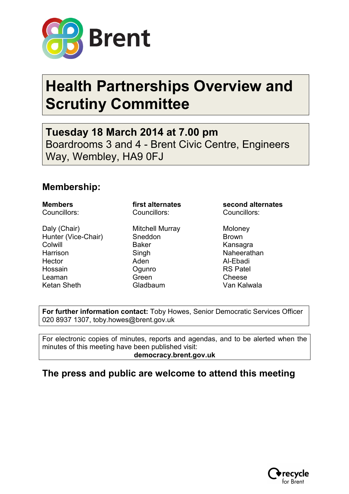

# **Health Partnerships Overview and Scrutiny Committee**

**Tuesday 18 March 2014 at 7.00 pm** Boardrooms 3 and 4 - Brent Civic Centre, Engineers Way, Wembley, HA9 0FJ

### **Membership:**

Daly (Chair) **Mitchell Murray** Moloney Hunter (Vice-Chair) Sneddon Brown Colwill **Baker** Baker Kansagra Harrison Singh Singh Naheerathan Hector **Aden** Aden Al-Ebadi Hossain **Community** Ogunro **RS Patel** Leaman Green Green Cheese Ketan Sheth Gladbaum Van Kalwala

Councillors: Councillors: Councillors:

**Members first alternates second alternates**

**For further information contact:** Toby Howes, Senior Democratic Services Officer 020 8937 1307, toby.howes@brent.gov.uk

For electronic copies of minutes, reports and agendas, and to be alerted when the minutes of this meeting have been published visit: **democracy.brent.gov.uk** 

## **The press and public are welcome to attend this meeting**

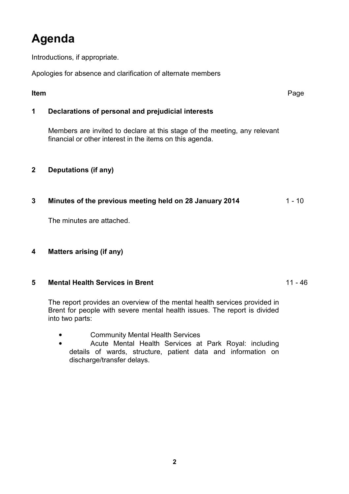# **Agenda**

Introductions, if appropriate.

Apologies for absence and clarification of alternate members

| <b>Item</b>  |                                                                                                                                       | Page   |
|--------------|---------------------------------------------------------------------------------------------------------------------------------------|--------|
| 1            | Declarations of personal and prejudicial interests                                                                                    |        |
|              | Members are invited to declare at this stage of the meeting, any relevant<br>financial or other interest in the items on this agenda. |        |
| $\mathbf{2}$ | Deputations (if any)                                                                                                                  |        |
| 3            | Minutes of the previous meeting held on 28 January 2014                                                                               | 1 - 10 |
|              | The minutes are attached.                                                                                                             |        |
| 4            | <b>Matters arising (if any)</b>                                                                                                       |        |

#### **5 Mental Health Services in Brent** 11 - 46

 The report provides an overview of the mental health services provided in Brent for people with severe mental health issues. The report is divided into two parts:

- Community Mental Health Services
- Acute Mental Health Services at Park Royal: including details of wards, structure, patient data and information on discharge/transfer delays.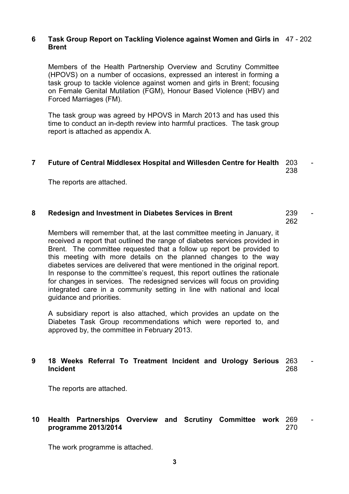#### **6 Task Group Report on Tackling Violence against Women and Girls in**  47 - 202 **Brent**

 Members of the Health Partnership Overview and Scrutiny Committee (HPOVS) on a number of occasions, expressed an interest in forming a task group to tackle violence against women and girls in Brent; focusing on Female Genital Mutilation (FGM), Honour Based Violence (HBV) and Forced Marriages (FM).

The task group was agreed by HPOVS in March 2013 and has used this time to conduct an in-depth review into harmful practices. The task group report is attached as appendix A.

#### **7 Future of Central Middlesex Hospital and Willesden Centre for Health** 203 - 238

The reports are attached.

#### **8 Redesign and Investment in Diabetes Services in Brent** 239

262

 Members will remember that, at the last committee meeting in January, it received a report that outlined the range of diabetes services provided in Brent. The committee requested that a follow up report be provided to this meeting with more details on the planned changes to the way diabetes services are delivered that were mentioned in the original report. In response to the committee's request, this report outlines the rationale for changes in services. The redesigned services will focus on providing integrated care in a community setting in line with national and local guidance and priorities.

A subsidiary report is also attached, which provides an update on the Diabetes Task Group recommendations which were reported to, and approved by, the committee in February 2013.

#### **9 18 Weeks Referral To Treatment Incident and Urology Serious**  263 - **Incident**  268

The reports are attached.

#### **10 Health Partnerships Overview and Scrutiny Committee work**  269 **programme 2013/2014**  270

The work programme is attached.